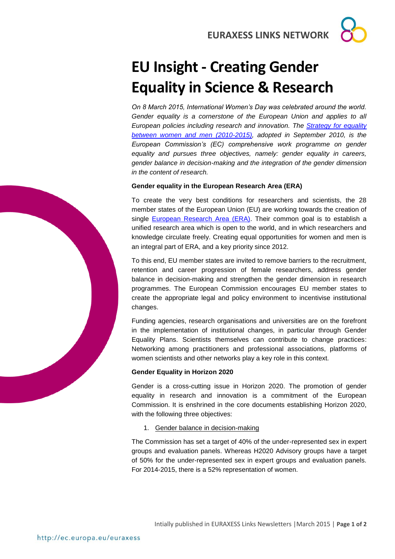**EURAXESS LINKS NETWORK**

# **EU Insight - Creating Gender Equality in Science & Research**

*On 8 March 2015, International Women's Day was celebrated around the world.*  Gender equality is a cornerstone of the European Union and applies to all *European policies including research and innovation. The [Strategy for equality](http://ec.europa.eu/justice/gender-equality/files/strategy_equality_women_men_en.pdf)  [between women and men \(2010-2015\),](http://ec.europa.eu/justice/gender-equality/files/strategy_equality_women_men_en.pdf) adopted in September 2010, is the European Commission's (EC) comprehensive work programme on gender equality and pursues three objectives, namely: gender equality in careers, gender balance in decision-making and the integration of the gender dimension in the content of research.*

#### **Gender equality in the European Research Area (ERA)**

To create the very best conditions for researchers and scientists, the 28 member states of the European Union (EU) are working towards the creation of single [European Research Area \(ERA\).](http://ec.europa.eu/research/era/index_en.htm) Their common goal is to establish a unified research area which is open to the world, and in which researchers and knowledge circulate freely. Creating equal opportunities for women and men is an integral part of ERA, and a key priority since 2012.

To this end, EU member states are invited to remove barriers to the recruitment, retention and career progression of female researchers, address gender balance in decision-making and strengthen the gender dimension in research programmes. The European Commission encourages EU member states to create the appropriate legal and policy environment to incentivise institutional changes.

Funding agencies, research organisations and universities are on the forefront in the implementation of institutional changes, in particular through Gender Equality Plans. Scientists themselves can contribute to change practices: Networking among practitioners and professional associations, platforms of women scientists and other networks play a key role in this context.

## **Gender Equality in Horizon 2020**

Gender is a cross-cutting issue in [Horizon](http://ec.europa.eu/programmes/horizon2020/) 2020. The promotion of gender equality in research and innovation is a commitment of the European Commission. It is enshrined in the core documents establishing Horizon 2020, with the following three objectives:

1. Gender balance in decision-making

The Commission has set a target of 40% of the under-represented sex in expert groups and evaluation panels. Whereas H2020 Advisory groups have a target of 50% for the under-represented sex in expert groups and evaluation panels. For 2014-2015, there is a 52% representation of women.